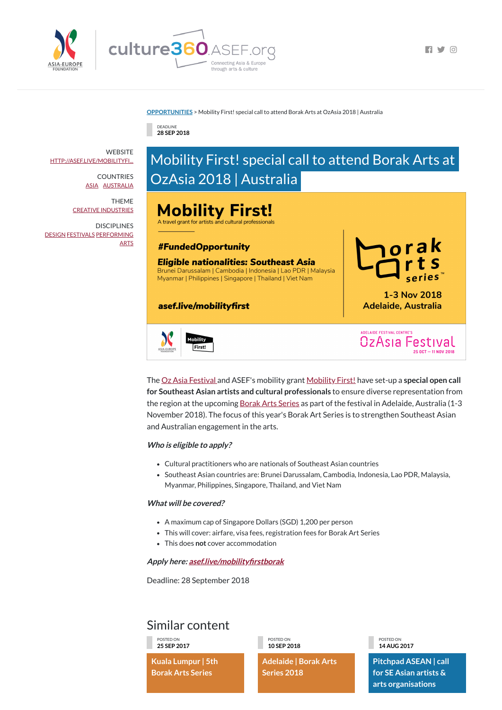



 $\blacksquare$ 

#### **[OPPORTUNITIES](https://culture360.asef.org/opportunities/)** > Mobility First! special call to attend Borak Arts at OzAsia 2018 | Australia

#### Similar content

DEADLINE **28 SEP 2018**

### Mobility First! special call to attend Borak Arts at OzAsia 2018 | Australia

## **Mobility First!**

A travel grant for artists and cultural professionals

#### **#FundedOpportunity**

#### **Eligible nationalities: Southeast Asia**

Brunei Darussalam | Cambodia | Indonesia | Lao PDR | Malaysia Myanmar | Philippines | Singapore | Thailand | Viet Nam

#### asef.live/mobilityfirst



1-3 Nov 2018 **Adelaide, Australia** 

estival

**ADELAIDE FESTIVAL CENTRE'S** 

 $OzAsia$ 



The Oz Asia [Festival](https://www.ozasiafestival.com.au/) and ASEF's mobility grant [Mobility](http://asef.org/index.php/projects/themes/culture/4400-mobility-first!--asef-cultural-mobility-initiative-2018) First! have set-up a **special open call for Southeast Asian artists and cultural professionals** to ensure diverse representation from the region at the upcoming Borak Arts [Series](https://www.borakarts.com/) as part of the festival in Adelaide, Australia (1-3 November 2018). The focus of this year's Borak Art Series is to strengthen Southeast Asian

- A maximum cap of Singapore Dollars (SGD) 1,200 per person
- This will cover: airfare, visa fees, registration fees for Borak Art Series
	-
- This does **not** cover accommodation

and Australian engagement in the arts.

#### **Who is eligible to apply?**

**WEBSITE** [HTTP://ASEF.LIVE/MOBILITYFI...](http://asef.live/mobilityfirstborak)

**DISCIPLINES** [DESIGN](https://culture360.asef.org/disciplines/design/) [FESTIVALS](https://culture360.asef.org/disciplines/festivals/) [PERFORMING](https://culture360.asef.org/disciplines/performing-arts/) ARTS

- Cultural practitioners who are nationals of Southeast Asian countries
- Southeast Asian countries are: Brunei Darussalam, Cambodia, Indonesia, Lao PDR, Malaysia, Myanmar, Philippines, Singapore, Thailand, and Viet Nam

#### **What will be covered?**

**Apply here: [asef.live/mobilityrstborak](http://asef.live/mobilityfirstborak)**

Deadline: 28 September 2018

POSTED ON **25 SEP 2017**

**Kuala Lumpur | 5th Borak Arts Series**

POSTED ON **10 SEP 2018**

**Adelaide | Borak Arts Series 2018**

POSTED ON **14 AUG 2017**

**Pitchpad ASEAN | call for SE Asian artists & arts organisations**

COUNTRIES [ASIA](https://culture360.asef.org/countries/asia/) [AUSTRALIA](https://culture360.asef.org/countries/australia/)

THEME CREATIVE [INDUSTRIES](https://culture360.asef.org/themes/creative-industries/)